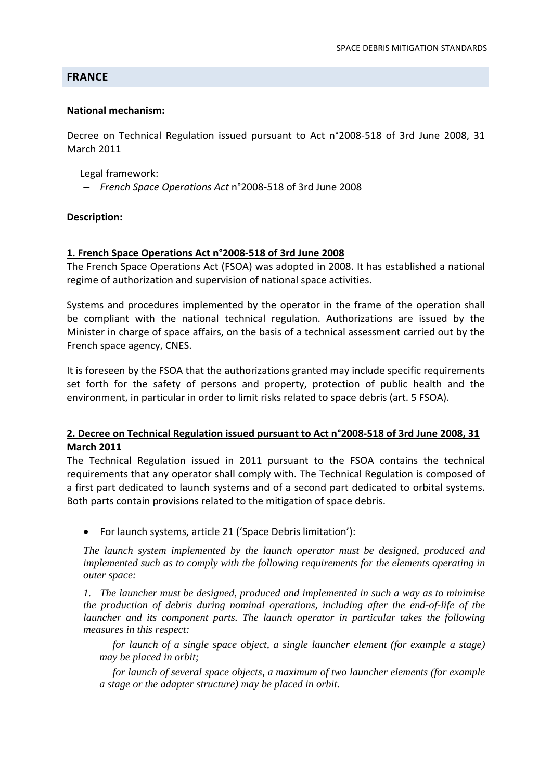# **FRANCE**

### **National mechanism:**

Decree on Technical Regulation issued pursuant to Act n°2008‐518 of 3rd June 2008, 31 March 2011

Legal framework:

*– French Space Operations Act* n°2008‐518 of 3rd June 2008

### **Description:**

#### **1. French Space Operations Act n°2008‐518 of 3rd June 2008**

The French Space Operations Act (FSOA) was adopted in 2008. It has established a national regime of authorization and supervision of national space activities.

Systems and procedures implemented by the operator in the frame of the operation shall be compliant with the national technical regulation. Authorizations are issued by the Minister in charge of space affairs, on the basis of a technical assessment carried out by the French space agency, CNES.

It is foreseen by the FSOA that the authorizations granted may include specific requirements set forth for the safety of persons and property, protection of public health and the environment, in particular in order to limit risks related to space debris (art. 5 FSOA).

# **2. Decree on Technical Regulation issued pursuant to Act n°2008‐518 of 3rd June 2008, 31 March 2011**

The Technical Regulation issued in 2011 pursuant to the FSOA contains the technical requirements that any operator shall comply with. The Technical Regulation is composed of a first part dedicated to launch systems and of a second part dedicated to orbital systems. Both parts contain provisions related to the mitigation of space debris.

• For launch systems, article 21 ('Space Debris limitation'):

*The launch system implemented by the launch operator must be designed, produced and implemented such as to comply with the following requirements for the elements operating in outer space:* 

*1. The launcher must be designed, produced and implemented in such a way as to minimise the production of debris during nominal operations, including after the end-of-life of the launcher and its component parts. The launch operator in particular takes the following measures in this respect:* 

*for launch of a single space object, a single launcher element (for example a stage) may be placed in orbit;* 

*for launch of several space objects, a maximum of two launcher elements (for example a stage or the adapter structure) may be placed in orbit.*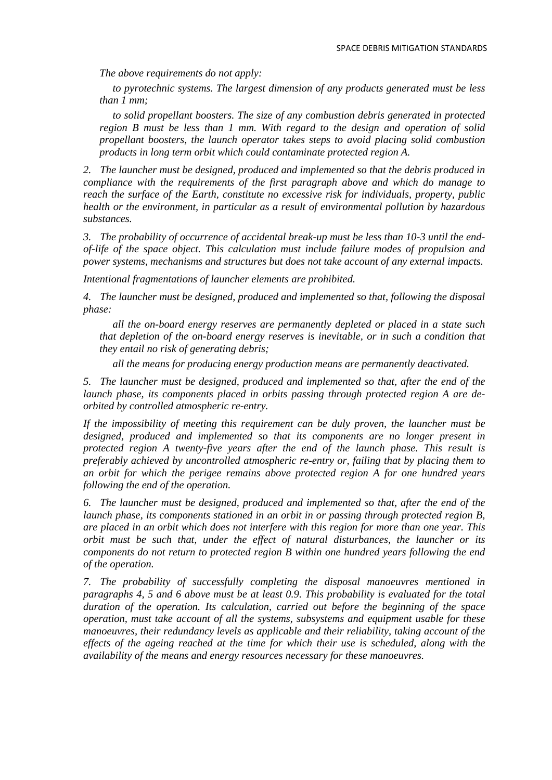*The above requirements do not apply:* 

*to pyrotechnic systems. The largest dimension of any products generated must be less than 1 mm;* 

*to solid propellant boosters. The size of any combustion debris generated in protected region B must be less than 1 mm. With regard to the design and operation of solid propellant boosters, the launch operator takes steps to avoid placing solid combustion products in long term orbit which could contaminate protected region A.* 

*2. The launcher must be designed, produced and implemented so that the debris produced in compliance with the requirements of the first paragraph above and which do manage to reach the surface of the Earth, constitute no excessive risk for individuals, property, public health or the environment, in particular as a result of environmental pollution by hazardous substances.* 

*3. The probability of occurrence of accidental break-up must be less than 10-3 until the endof-life of the space object. This calculation must include failure modes of propulsion and power systems, mechanisms and structures but does not take account of any external impacts.* 

*Intentional fragmentations of launcher elements are prohibited.* 

*4. The launcher must be designed, produced and implemented so that, following the disposal phase:* 

*all the on-board energy reserves are permanently depleted or placed in a state such that depletion of the on-board energy reserves is inevitable, or in such a condition that they entail no risk of generating debris;* 

*all the means for producing energy production means are permanently deactivated.* 

*5. The launcher must be designed, produced and implemented so that, after the end of the launch phase, its components placed in orbits passing through protected region A are deorbited by controlled atmospheric re-entry.* 

*If the impossibility of meeting this requirement can be duly proven, the launcher must be designed, produced and implemented so that its components are no longer present in protected region A twenty-five years after the end of the launch phase. This result is preferably achieved by uncontrolled atmospheric re-entry or, failing that by placing them to an orbit for which the perigee remains above protected region A for one hundred years following the end of the operation.* 

*6. The launcher must be designed, produced and implemented so that, after the end of the launch phase, its components stationed in an orbit in or passing through protected region B, are placed in an orbit which does not interfere with this region for more than one year. This orbit must be such that, under the effect of natural disturbances, the launcher or its components do not return to protected region B within one hundred years following the end of the operation.* 

*7. The probability of successfully completing the disposal manoeuvres mentioned in paragraphs 4, 5 and 6 above must be at least 0.9. This probability is evaluated for the total duration of the operation. Its calculation, carried out before the beginning of the space operation, must take account of all the systems, subsystems and equipment usable for these manoeuvres, their redundancy levels as applicable and their reliability, taking account of the effects of the ageing reached at the time for which their use is scheduled, along with the availability of the means and energy resources necessary for these manoeuvres.*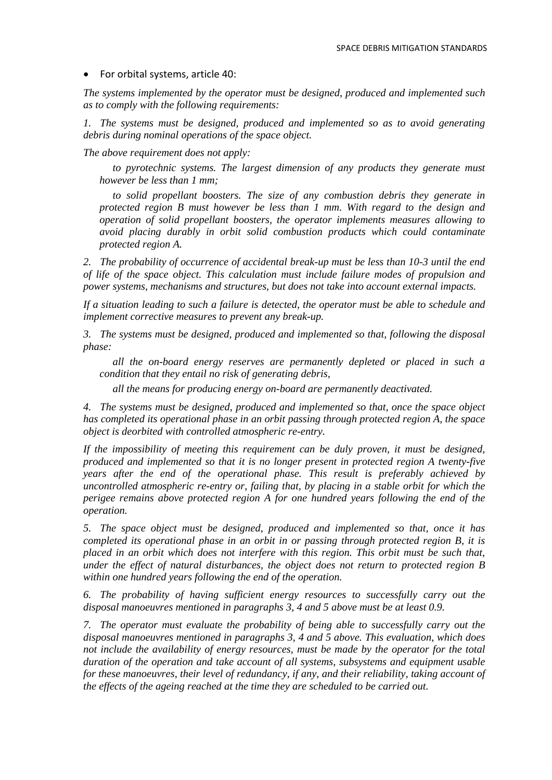• For orbital systems, article 40:

*The systems implemented by the operator must be designed, produced and implemented such as to comply with the following requirements:* 

*1.* The systems must be designed, produced and implemented so as to avoid generating *debris during nominal operations of the space object.* 

*The above requirement does not apply:* 

*to pyrotechnic systems. The largest dimension of any products they generate must however be less than 1 mm;* 

*to solid propellant boosters. The size of any combustion debris they generate in protected region B must however be less than 1 mm. With regard to the design and operation of solid propellant boosters, the operator implements measures allowing to avoid placing durably in orbit solid combustion products which could contaminate protected region A.* 

*2. The probability of occurrence of accidental break-up must be less than 10-3 until the end of life of the space object. This calculation must include failure modes of propulsion and power systems, mechanisms and structures, but does not take into account external impacts.* 

*If a situation leading to such a failure is detected, the operator must be able to schedule and implement corrective measures to prevent any break-up.* 

*3. The systems must be designed, produced and implemented so that, following the disposal phase:* 

*all the on-board energy reserves are permanently depleted or placed in such a condition that they entail no risk of generating debris,* 

*all the means for producing energy on-board are permanently deactivated.* 

*4. The systems must be designed, produced and implemented so that, once the space object has completed its operational phase in an orbit passing through protected region A, the space object is deorbited with controlled atmospheric re-entry.* 

*If the impossibility of meeting this requirement can be duly proven, it must be designed, produced and implemented so that it is no longer present in protected region A twenty-five years after the end of the operational phase. This result is preferably achieved by uncontrolled atmospheric re-entry or, failing that, by placing in a stable orbit for which the perigee remains above protected region A for one hundred years following the end of the operation.* 

*5. The space object must be designed, produced and implemented so that, once it has completed its operational phase in an orbit in or passing through protected region B, it is placed in an orbit which does not interfere with this region. This orbit must be such that, under the effect of natural disturbances, the object does not return to protected region B within one hundred years following the end of the operation.* 

*6. The probability of having sufficient energy resources to successfully carry out the disposal manoeuvres mentioned in paragraphs 3, 4 and 5 above must be at least 0.9.* 

*7. The operator must evaluate the probability of being able to successfully carry out the disposal manoeuvres mentioned in paragraphs 3, 4 and 5 above. This evaluation, which does not include the availability of energy resources, must be made by the operator for the total duration of the operation and take account of all systems, subsystems and equipment usable for these manoeuvres, their level of redundancy, if any, and their reliability, taking account of the effects of the ageing reached at the time they are scheduled to be carried out.*